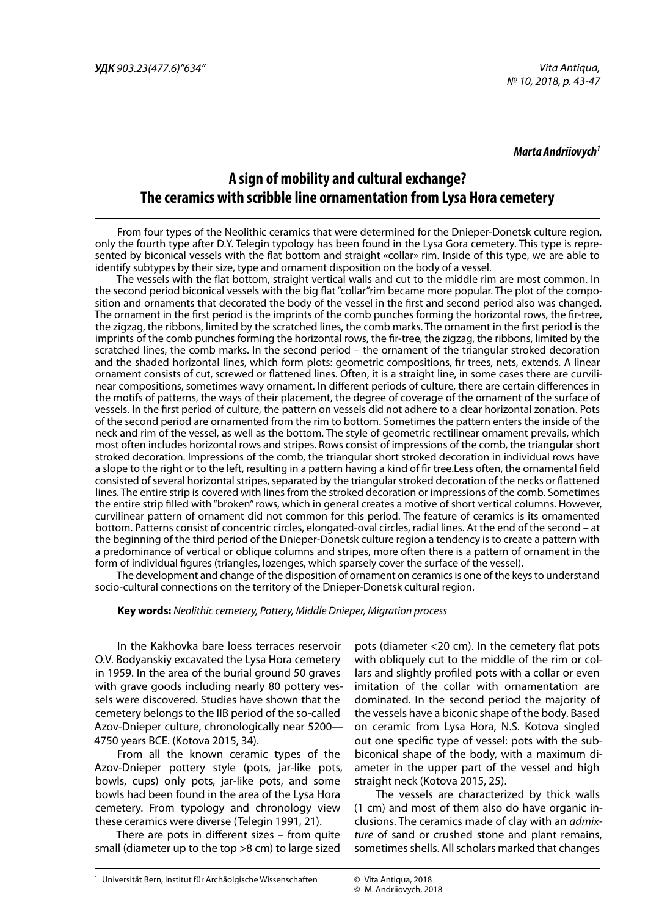#### *Marta Andriiovych1*

# **A sign of mobility and cultural exchange? The ceramics with scribble line ornamentation from Lysa Hora cemetery**

From four types of the Neolithic ceramics that were determined for the Dnieper-Donetsk culture region, only the fourth type after D.Y. Telegin typology has been found in the Lysa Gora cemetery. This type is represented by biconical vessels with the flat bottom and straight «collar» rim. Inside of this type, we are able to identify subtypes by their size, type and ornament disposition on the body of a vessel.

The vessels with the flat bottom, straight vertical walls and cut to the middle rim are most common. In the second period biconical vessels with the big flat "collar"rim became more popular. The plot of the composition and ornaments that decorated the body of the vessel in the first and second period also was changed. The ornament in the first period is the imprints of the comb punches forming the horizontal rows, the fir-tree, the zigzag, the ribbons, limited by the scratched lines, the comb marks. The ornament in the first period is the imprints of the comb punches forming the horizontal rows, the fir-tree, the zigzag, the ribbons, limited by the scratched lines, the comb marks. In the second period – the ornament of the triangular stroked decoration and the shaded horizontal lines, which form plots: geometric compositions, fir trees, nets, extends. A linear ornament consists of cut, screwed or flattened lines. Often, it is a straight line, in some cases there are curvilinear compositions, sometimes wavy ornament. In different periods of culture, there are certain differences in the motifs of patterns, the ways of their placement, the degree of coverage of the ornament of the surface of vessels. In the first period of culture, the pattern on vessels did not adhere to a clear horizontal zonation. Pots of the second period are ornamented from the rim to bottom. Sometimes the pattern enters the inside of the neck and rim of the vessel, as well as the bottom. The style of geometric rectilinear ornament prevails, which most often includes horizontal rows and stripes. Rows consist of impressions of the comb, the triangular short stroked decoration. Impressions of the comb, the triangular short stroked decoration in individual rows have a slope to the right or to the left, resulting in a pattern having a kind of fir tree.Less often, the ornamental field consisted of several horizontal stripes, separated by the triangular stroked decoration of the necks or flattened lines. The entire strip is covered with lines from the stroked decoration or impressions of the comb. Sometimes the entire strip filled with "broken" rows, which in general creates a motive of short vertical columns. However, curvilinear pattern of ornament did not common for this period. The feature of ceramics is its ornamented bottom. Patterns consist of concentric circles, elongated-oval circles, radial lines. At the end of the second – at the beginning of the third period of the Dnieper-Donetsk culture region a tendency is to create a pattern with a predominance of vertical or oblique columns and stripes, more often there is a pattern of ornament in the form of individual figures (triangles, lozenges, which sparsely cover the surface of the vessel).

The development and change of the disposition of ornament on ceramics is one of the keys to understand socio-cultural connections on the territory of the Dnieper-Donetsk cultural region.

#### **Key words:** *Neolithic cemetery, Pottery, Middle Dnieper, Migration process*

In the Kakhovka bare loess terraces reservoir O.V. Bodyanskiy excavated the Lysa Hora cemetery in 1959. In the area of the burial ground 50 graves with grave goods including nearly 80 pottery vessels were discovered. Studies have shown that the cemetery belongs to the IIB period of the so-called Azov-Dnieper culture, chronologically near 5200— 4750 years BCE. (Kotova 2015, 34).

From all the known ceramic types of the Azov-Dnieper pottery style (pots, jar-like pots, bowls, cups) only pots, jar-like pots, and some bowls had been found in the area of the Lysa Hora cemetery. From typology and chronology view these ceramics were diverse (Telegin 1991, 21).

There are pots in different sizes – from quite small (diameter up to the top >8 cm) to large sized

pots (diameter <20 cm). In the cemetery flat pots with obliquely cut to the middle of the rim or collars and slightly profiled pots with a collar or even imitation of the collar with ornamentation are dominated. In the second period the majority of the vessels have a biconic shape of the body. Based on ceramic from Lysa Hora, N.S. Kotova singled out one specific type of vessel: pots with the subbiconical shape of the body, with a maximum diameter in the upper part of the vessel and high straight neck (Kotova 2015, 25).

The vessels are characterized by thick walls (1 cm) and most of them also do have organic inclusions. The ceramics made of clay with an *admixture* of sand or crushed stone and plant remains, sometimes shells. All scholars marked that changes

<sup>©</sup> Vita Antiqua, 2018

<sup>©</sup> M. Andriiovych, 2018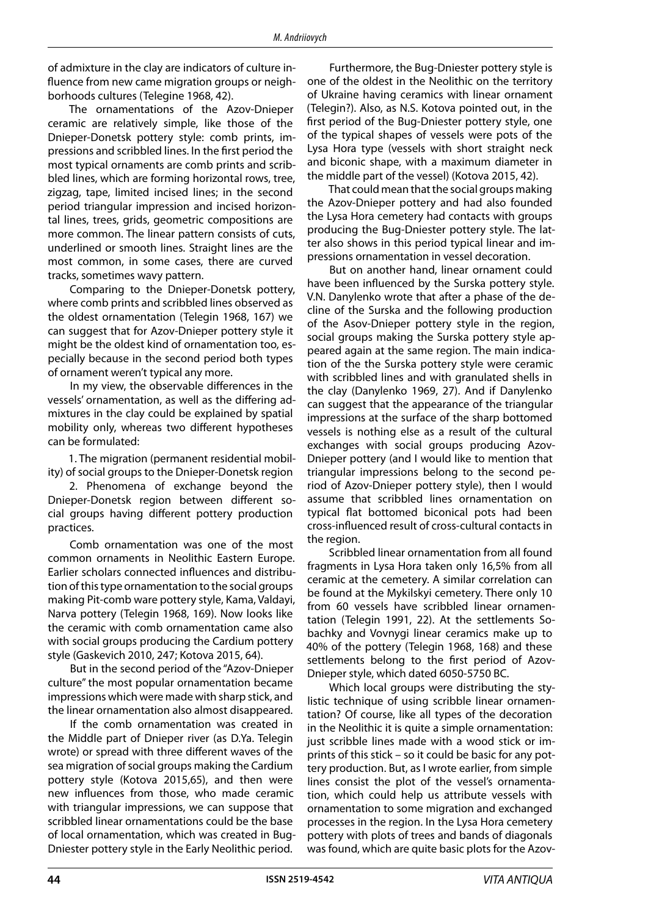of admixture in the clay are indicators of culture influence from new came migration groups or neighborhoods cultures (Telegine 1968, 42).

The ornamentations of the Azov-Dnieper ceramic are relatively simple, like those of the Dnieper-Donetsk pottery style: comb prints, impressions and scribbled lines. In the first period the most typical ornaments are comb prints and scribbled lines, which are forming horizontal rows, tree, zigzag, tape, limited incised lines; in the second period triangular impression and incised horizontal lines, trees, grids, geometric compositions are more common. The linear pattern consists of cuts, underlined or smooth lines. Straight lines are the most common, in some cases, there are curved tracks, sometimes wavy pattern.

Comparing to the Dnieper-Donetsk pottery, where comb prints and scribbled lines observed as the oldest ornamentation (Telegin 1968, 167) we can suggest that for Azov-Dnieper pottery style it might be the oldest kind of ornamentation too, especially because in the second period both types of ornament weren't typical any more.

In my view, the observable differences in the vessels' ornamentation, as well as the differing admixtures in the clay could be explained by spatial mobility only, whereas two different hypotheses can be formulated:

1. The migration (permanent residential mobility) of social groups to the Dnieper-Donetsk region

2. Phenomena of exchange beyond the Dnieper-Donetsk region between different social groups having different pottery production practices.

Comb ornamentation was one of the most common ornaments in Neolithic Eastern Europe. Earlier scholars connected influences and distribution of this type ornamentation to the social groups making Pit-comb ware pottery style, Kama, Valdayi, Narva pottery (Telegin 1968, 169). Now looks like the ceramic with comb ornamentation came also with social groups producing the Cardium pottery style (Gaskevich 2010, 247; Kotova 2015, 64).

But in the second period of the "Azov-Dnieper culture" the most popular ornamentation became impressions which were made with sharp stick, and the linear ornamentation also almost disappeared.

If the comb ornamentation was created in the Middle part of Dnieper river (as D.Ya. Telegin wrote) or spread with three different waves of the sea migration of social groups making the Cardium pottery style (Kotova 2015,65), and then were new influences from those, who made ceramic with triangular impressions, we can suppose that scribbled linear ornamentations could be the base of local ornamentation, which was created in Bug-Dniester pottery style in the Early Neolithic period.

Furthermore, the Bug-Dniester pottery style is one of the oldest in the Neolithic on the territory of Ukraine having ceramics with linear ornament (Telegin?). Also, as N.S. Kotova pointed out, in the first period of the Bug-Dniester pottery style, one of the typical shapes of vessels were pots of the Lysa Hora type (vessels with short straight neck and biconic shape, with a maximum diameter in the middle part of the vessel) (Kotova 2015, 42).

That could mean that the social groups making the Azov-Dnieper pottery and had also founded the Lysa Hora cemetery had contacts with groups producing the Bug-Dniester pottery style. The latter also shows in this period typical linear and impressions ornamentation in vessel decoration.

But on another hand, linear ornament could have been influenced by the Surska pottery style. V.N. Danylenko wrote that after a phase of the decline of the Surska and the following production of the Asov-Dnieper pottery style in the region, social groups making the Surska pottery style appeared again at the same region. The main indication of the the Surska pottery style were ceramic with scribbled lines and with granulated shells in the clay (Danylenko 1969, 27). And if Danylenko can suggest that the appearance of the triangular impressions at the surface of the sharp bottomed vessels is nothing else as a result of the cultural exchanges with social groups producing Azov-Dnieper pottery (and I would like to mention that triangular impressions belong to the second period of Azov-Dnieper pottery style), then I would assume that scribbled lines ornamentation on typical flat bottomed biconical pots had been cross-influenced result of cross-cultural contacts in the region.

Scribbled linear ornamentation from all found fragments in Lysa Hora taken only 16,5% from all ceramic at the cemetery. A similar correlation can be found at the Mykilskyi cemetery. There only 10 from 60 vessels have scribbled linear ornamentation (Telegin 1991, 22). At the settlements Sobachky and Vovnygi linear ceramics make up to 40% of the pottery (Telegin 1968, 168) and these settlements belong to the first period of Azov-Dnieper style, which dated 6050-5750 BC.

Which local groups were distributing the stylistic technique of using scribble linear ornamentation? Of course, like all types of the decoration in the Neolithic it is quite a simple ornamentation: just scribble lines made with a wood stick or imprints of this stick – so it could be basic for any pottery production. But, as I wrote earlier, from simple lines consist the plot of the vessel's ornamentation, which could help us attribute vessels with ornamentation to some migration and exchanged processes in the region. In the Lysa Hora cemetery pottery with plots of trees and bands of diagonals was found, which are quite basic plots for the Azov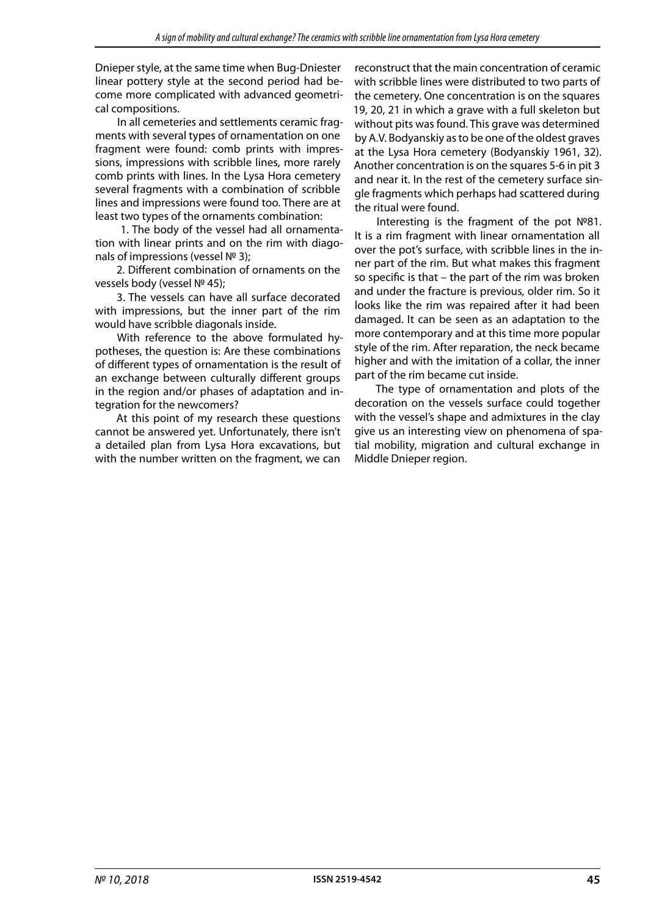Dnieper style, at the same time when Bug-Dniester linear pottery style at the second period had become more complicated with advanced geometrical compositions.

In all cemeteries and settlements ceramic fragments with several types of ornamentation on one fragment were found: comb prints with impressions, impressions with scribble lines, more rarely comb prints with lines. In the Lysa Hora cemetery several fragments with a combination of scribble lines and impressions were found too. There are at least two types of the ornaments combination:

 1. The body of the vessel had all ornamentation with linear prints and on the rim with diagonals of impressions (vessel № 3);

2. Different combination of ornaments on the vessels body (vessel № 45);

3. The vessels can have all surface decorated with impressions, but the inner part of the rim would have scribble diagonals inside.

With reference to the above formulated hypotheses, the question is: Are these combinations of different types of ornamentation is the result of an exchange between culturally different groups in the region and/or phases of adaptation and integration for the newcomers?

At this point of my research these questions cannot be answered yet. Unfortunately, there isn't a detailed plan from Lysa Hora excavations, but with the number written on the fragment, we can

reconstruct that the main concentration of ceramic with scribble lines were distributed to two parts of the cemetery. One concentration is on the squares 19, 20, 21 in which a grave with a full skeleton but without pits was found. This grave was determined by A.V. Bodyanskiy as to be one of the oldest graves at the Lysa Hora cemetery (Bodyanskiy 1961, 32). Another concentration is on the squares 5-6 in pit 3 and near it. In the rest of the cemetery surface single fragments which perhaps had scattered during the ritual were found.

Interesting is the fragment of the pot №81. It is a rim fragment with linear ornamentation all over the pot's surface, with scribble lines in the inner part of the rim. But what makes this fragment so specific is that – the part of the rim was broken and under the fracture is previous, older rim. So it looks like the rim was repaired after it had been damaged. It can be seen as an adaptation to the more contemporary and at this time more popular style of the rim. After reparation, the neck became higher and with the imitation of a collar, the inner part of the rim became cut inside.

The type of ornamentation and plots of the decoration on the vessels surface could together with the vessel's shape and admixtures in the clay give us an interesting view on phenomena of spatial mobility, migration and cultural exchange in Middle Dnieper region.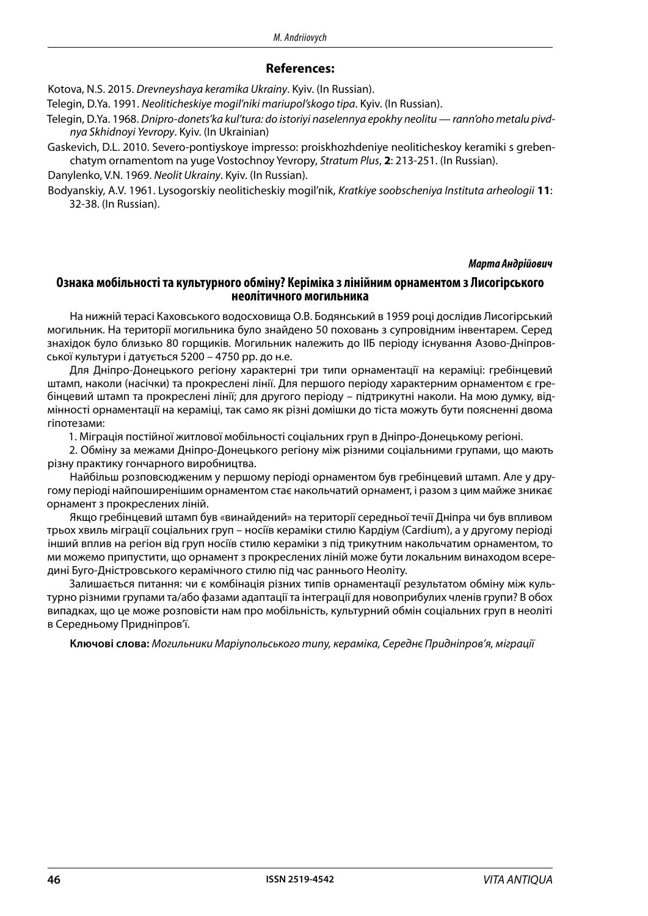### **References:**

Kotova, N.S. 2015. *Drevneyshaya keramika Ukrainy*. Kyiv. (In Russian).

Telegin, D.Ya. 1991. *Neoliticheskiye mogil'niki mariupol'skogo tipa*. Kyiv. (In Russian).

Telegin, D.Ya. 1968. *Dnipro-donets'ka kul'tura: do istoriyi naselennya epokhy neolitu — rann'oho metalu pivdnya Skhidnoyi Yevropy*. Kyiv. (In Ukrainian)

Gaskevich, D.L. 2010. Severo-pontiyskoye impresso: proiskhozhdeniye neoliticheskoy keramiki s grebenchatym ornamentom na yuge Vostochnoy Yevropy, *Stratum Plus*, **2**: 213-251. (In Russian).

Danylenko, V.N. 1969. *Neolit Ukrainy*. Kyiv. (In Russian).

Bodyanskiy, A.V. 1961. Lysogorskiy neoliticheskiy mogil'nik, *Kratkiye soobscheniya Instituta arheologii* **11**: 32-38. (In Russian).

### *Марта Андрійович*

## **Ознака мобільності та культурного обміну? Керіміка з лінійним орнаментом з Лисогірського неолітичного могильника**

На нижній терасі Каховського водосховища О.В. Бодянський в 1959 році дослідив Лисогірський могильник. На території могильника було знайдено 50 поховань з супровідним інвентарем. Серед знахідок було близько 80 горщиків. Могильник належить до IIБ періоду існування Азово-Дніпровської культури і датується 5200 – 4750 рр. до н.е.

Для Дніпро-Донецького регіону характерні три типи орнаментації на кераміці: гребінцевий штамп, наколи (насічки) та прокреслені лінії. Для першого періоду характерним орнаментом є гребінцевий штамп та прокреслені лінії; для другого періоду – підтрикутні наколи. На мою думку, відмінності орнаментації на кераміці, так само як різні домішки до тіста можуть бути поясненні двома гіпотезами:

1. Міграція постійної житлової мобільності соціальних груп в Дніпро-Донецькому регіоні.

2. Обміну за межами Дніпро-Донецького регіону між різними соціальними групами, що мають різну практику гончарного виробництва.

Найбільш розповсюдженим у першому періоді орнаментом був гребінцевий штамп. Але у другому періоді найпоширенішим орнаментом стає накольчатий орнамент, і разом з цим майже зникає орнамент з прокреслених ліній.

Якщо гребінцевий штамп був «винайдений» на території середньої течії Дніпра чи був впливом трьох хвиль міграції соціальних груп – носіїв кераміки стилю Кардіум (Cardium), а у другому періоді інший вплив на регіон від груп носіїв стилю кераміки з під трикутним накольчатим орнаментом, то ми можемо припустити, що орнамент з прокреслених ліній може бути локальним винаходом всередині Буго-Дністровського керамічного стилю під час раннього Неоліту.

Залишається питання: чи є комбінація різних типів орнаментації результатом обміну між культурно різними групами та/або фазами адаптації та інтеграції для новоприбулих членів групи? В обох випадках, що це може розповісти нам про мобільність, культурний обмін соціальних груп в неоліті в Середньому Придніпров'ї.

**Ключові слова:** *Могильники Маріупольського типу, кераміка, Середнє Придніпров'я, міграції*